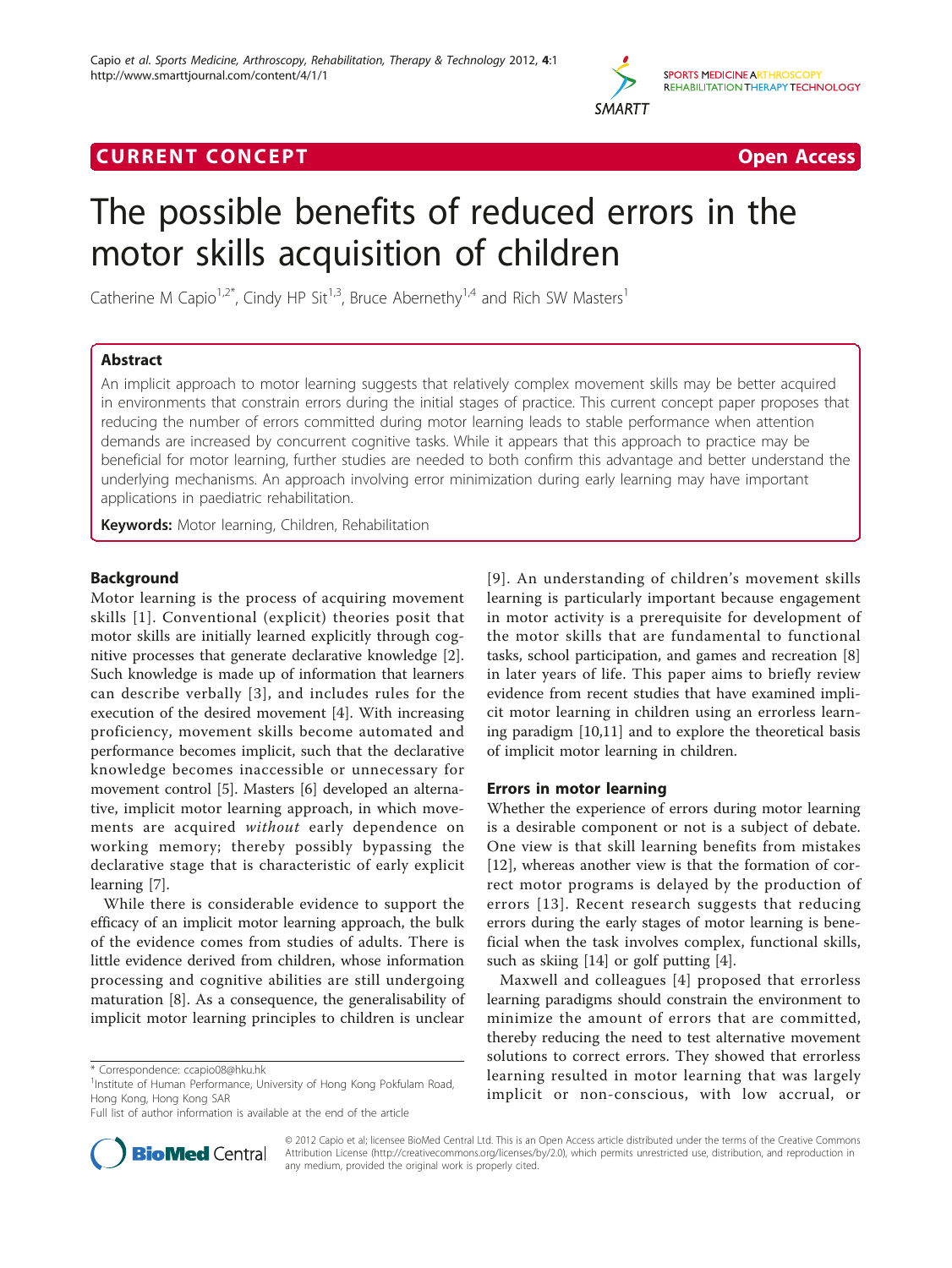

# **CURRENT CONCEPT CURRENT CONCEPT CURRENT CONCEPT**



# The possible benefits of reduced errors in the motor skills acquisition of children

Catherine M Capio<sup>1,2\*</sup>, Cindy HP Sit<sup>1,3</sup>, Bruce Abernethy<sup>1,4</sup> and Rich SW Masters<sup>1</sup>

# Abstract

An implicit approach to motor learning suggests that relatively complex movement skills may be better acquired in environments that constrain errors during the initial stages of practice. This current concept paper proposes that reducing the number of errors committed during motor learning leads to stable performance when attention demands are increased by concurrent cognitive tasks. While it appears that this approach to practice may be beneficial for motor learning, further studies are needed to both confirm this advantage and better understand the underlying mechanisms. An approach involving error minimization during early learning may have important applications in paediatric rehabilitation.

Keywords: Motor learning, Children, Rehabilitation

# Background

Motor learning is the process of acquiring movement skills [[1\]](#page-2-0). Conventional (explicit) theories posit that motor skills are initially learned explicitly through cognitive processes that generate declarative knowledge [\[2](#page-2-0)]. Such knowledge is made up of information that learners can describe verbally [[3](#page-2-0)], and includes rules for the execution of the desired movement [[4\]](#page-2-0). With increasing proficiency, movement skills become automated and performance becomes implicit, such that the declarative knowledge becomes inaccessible or unnecessary for movement control [[5\]](#page-2-0). Masters [[6\]](#page-3-0) developed an alternative, implicit motor learning approach, in which movements are acquired without early dependence on working memory; thereby possibly bypassing the declarative stage that is characteristic of early explicit learning [\[7\]](#page-3-0).

While there is considerable evidence to support the efficacy of an implicit motor learning approach, the bulk of the evidence comes from studies of adults. There is little evidence derived from children, whose information processing and cognitive abilities are still undergoing maturation [[8\]](#page-3-0). As a consequence, the generalisability of implicit motor learning principles to children is unclear



## Errors in motor learning

Whether the experience of errors during motor learning is a desirable component or not is a subject of debate. One view is that skill learning benefits from mistakes [[12\]](#page-3-0), whereas another view is that the formation of correct motor programs is delayed by the production of errors [[13](#page-3-0)]. Recent research suggests that reducing errors during the early stages of motor learning is beneficial when the task involves complex, functional skills, such as skiing [\[14](#page-3-0)] or golf putting [[4\]](#page-2-0).

Maxwell and colleagues [[4](#page-2-0)] proposed that errorless learning paradigms should constrain the environment to minimize the amount of errors that are committed, thereby reducing the need to test alternative movement solutions to correct errors. They showed that errorless learning resulted in motor learning that was largely implicit or non-conscious, with low accrual, or



© 2012 Capio et al; licensee BioMed Central Ltd. This is an Open Access article distributed under the terms of the Creative Commons Attribution License [\(http://creativecommons.org/licenses/by/2.0](http://creativecommons.org/licenses/by/2.0)), which permits unrestricted use, distribution, and reproduction in any medium, provided the original work is properly cited.

<sup>\*</sup> Correspondence: [ccapio08@hku.hk](mailto:ccapio08@hku.hk)

<sup>&</sup>lt;sup>1</sup>Institute of Human Performance, University of Hong Kong Pokfulam Road, Hong Kong, Hong Kong SAR

Full list of author information is available at the end of the article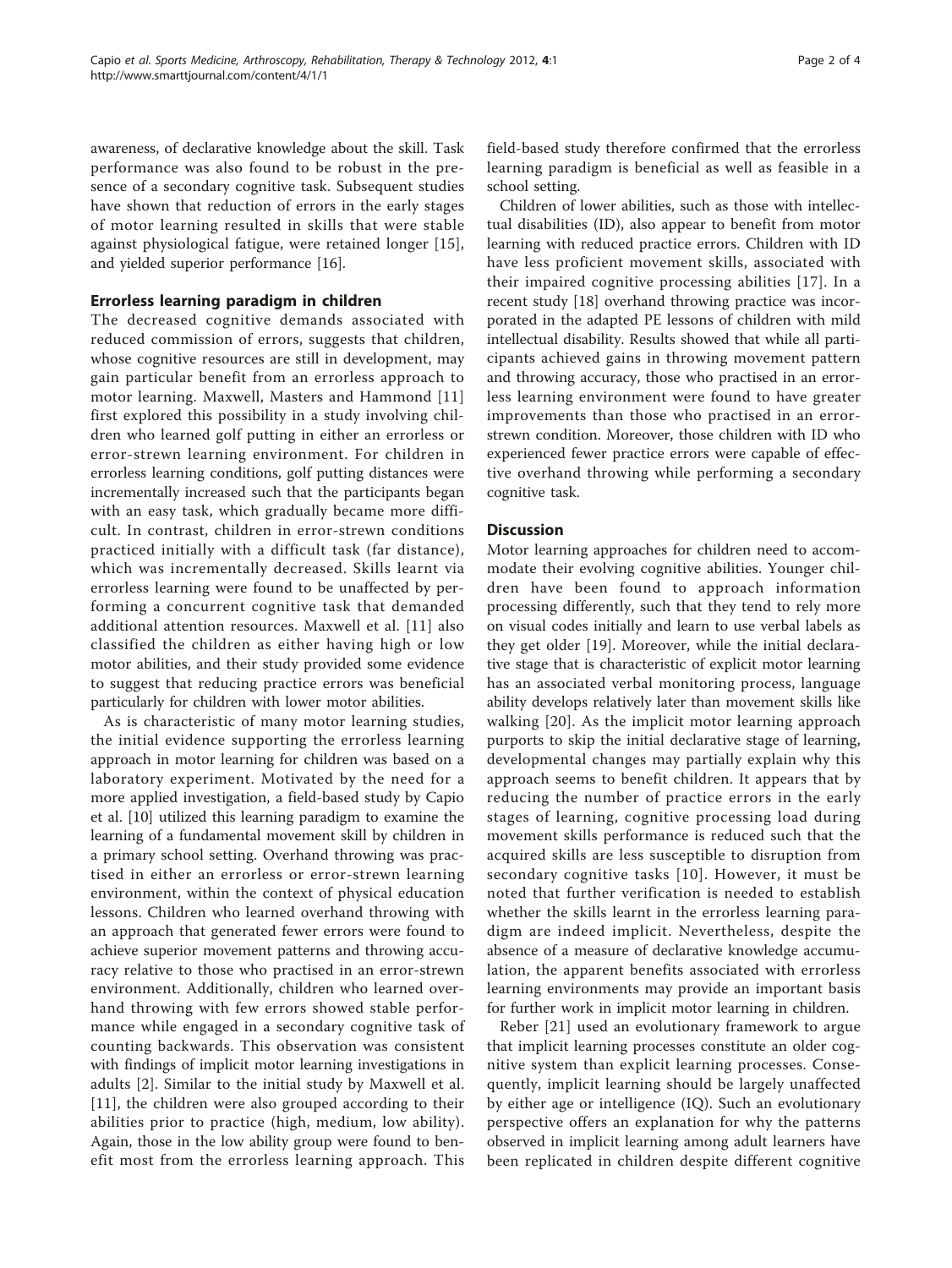awareness, of declarative knowledge about the skill. Task performance was also found to be robust in the presence of a secondary cognitive task. Subsequent studies have shown that reduction of errors in the early stages of motor learning resulted in skills that were stable against physiological fatigue, were retained longer [[15](#page-3-0)], and yielded superior performance [\[16](#page-3-0)].

# Errorless learning paradigm in children

The decreased cognitive demands associated with reduced commission of errors, suggests that children, whose cognitive resources are still in development, may gain particular benefit from an errorless approach to motor learning. Maxwell, Masters and Hammond [[11](#page-3-0)] first explored this possibility in a study involving children who learned golf putting in either an errorless or error-strewn learning environment. For children in errorless learning conditions, golf putting distances were incrementally increased such that the participants began with an easy task, which gradually became more difficult. In contrast, children in error-strewn conditions practiced initially with a difficult task (far distance), which was incrementally decreased. Skills learnt via errorless learning were found to be unaffected by performing a concurrent cognitive task that demanded additional attention resources. Maxwell et al. [\[11](#page-3-0)] also classified the children as either having high or low motor abilities, and their study provided some evidence to suggest that reducing practice errors was beneficial particularly for children with lower motor abilities.

As is characteristic of many motor learning studies, the initial evidence supporting the errorless learning approach in motor learning for children was based on a laboratory experiment. Motivated by the need for a more applied investigation, a field-based study by Capio et al. [\[10\]](#page-3-0) utilized this learning paradigm to examine the learning of a fundamental movement skill by children in a primary school setting. Overhand throwing was practised in either an errorless or error-strewn learning environment, within the context of physical education lessons. Children who learned overhand throwing with an approach that generated fewer errors were found to achieve superior movement patterns and throwing accuracy relative to those who practised in an error-strewn environment. Additionally, children who learned overhand throwing with few errors showed stable performance while engaged in a secondary cognitive task of counting backwards. This observation was consistent with findings of implicit motor learning investigations in adults [[2\]](#page-2-0). Similar to the initial study by Maxwell et al. [[11](#page-3-0)], the children were also grouped according to their abilities prior to practice (high, medium, low ability). Again, those in the low ability group were found to benefit most from the errorless learning approach. This

field-based study therefore confirmed that the errorless learning paradigm is beneficial as well as feasible in a school setting.

Children of lower abilities, such as those with intellectual disabilities (ID), also appear to benefit from motor learning with reduced practice errors. Children with ID have less proficient movement skills, associated with their impaired cognitive processing abilities [[17](#page-3-0)]. In a recent study [[18\]](#page-3-0) overhand throwing practice was incorporated in the adapted PE lessons of children with mild intellectual disability. Results showed that while all participants achieved gains in throwing movement pattern and throwing accuracy, those who practised in an errorless learning environment were found to have greater improvements than those who practised in an errorstrewn condition. Moreover, those children with ID who experienced fewer practice errors were capable of effective overhand throwing while performing a secondary cognitive task.

## **Discussion**

Motor learning approaches for children need to accommodate their evolving cognitive abilities. Younger children have been found to approach information processing differently, such that they tend to rely more on visual codes initially and learn to use verbal labels as they get older [[19](#page-3-0)]. Moreover, while the initial declarative stage that is characteristic of explicit motor learning has an associated verbal monitoring process, language ability develops relatively later than movement skills like walking [\[20\]](#page-3-0). As the implicit motor learning approach purports to skip the initial declarative stage of learning, developmental changes may partially explain why this approach seems to benefit children. It appears that by reducing the number of practice errors in the early stages of learning, cognitive processing load during movement skills performance is reduced such that the acquired skills are less susceptible to disruption from secondary cognitive tasks [[10](#page-3-0)]. However, it must be noted that further verification is needed to establish whether the skills learnt in the errorless learning paradigm are indeed implicit. Nevertheless, despite the absence of a measure of declarative knowledge accumulation, the apparent benefits associated with errorless learning environments may provide an important basis for further work in implicit motor learning in children.

Reber [[21](#page-3-0)] used an evolutionary framework to argue that implicit learning processes constitute an older cognitive system than explicit learning processes. Consequently, implicit learning should be largely unaffected by either age or intelligence (IQ). Such an evolutionary perspective offers an explanation for why the patterns observed in implicit learning among adult learners have been replicated in children despite different cognitive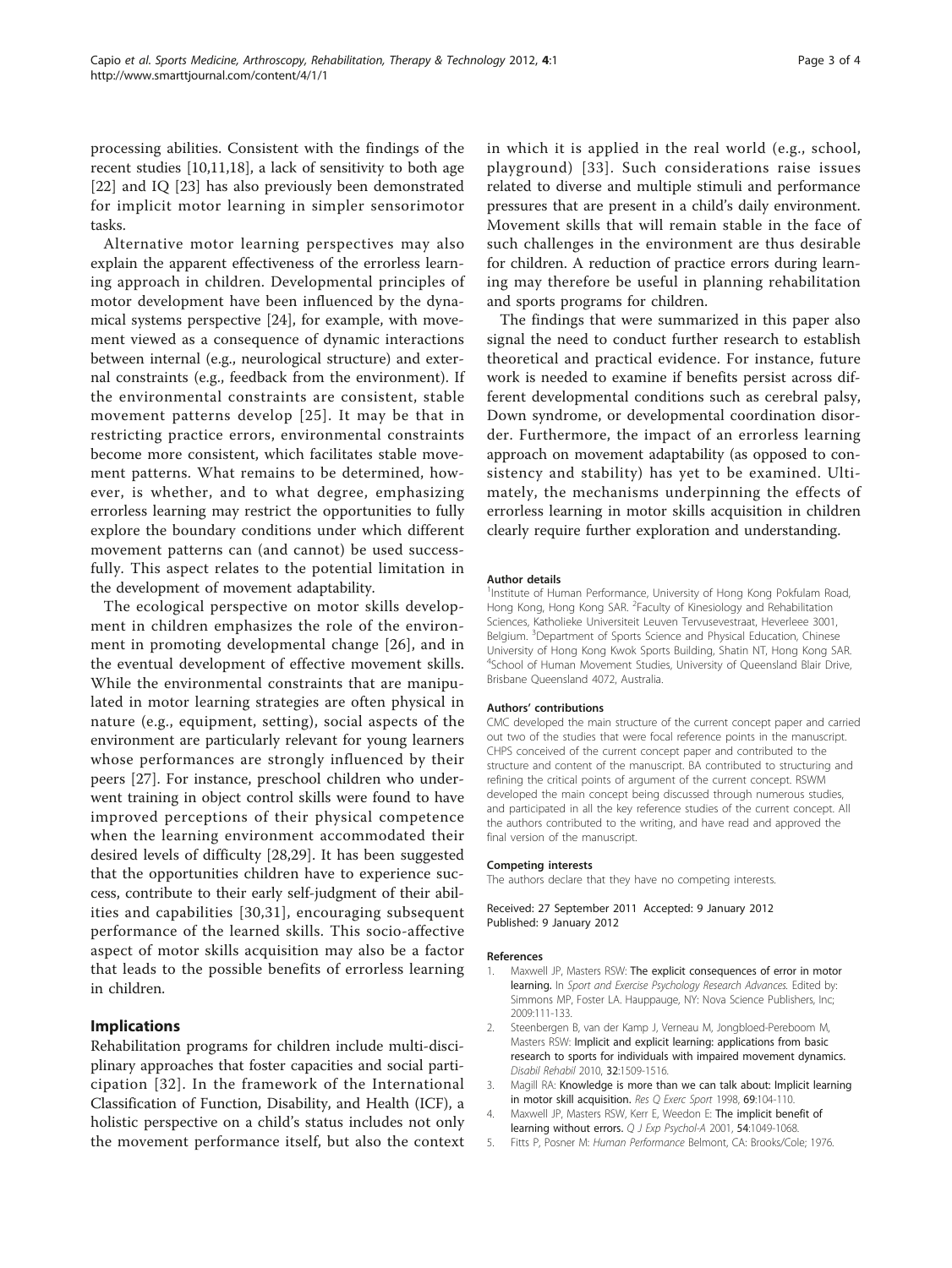<span id="page-2-0"></span>processing abilities. Consistent with the findings of the recent studies [[10,11,18](#page-3-0)], a lack of sensitivity to both age [[22\]](#page-3-0) and IQ [[23\]](#page-3-0) has also previously been demonstrated for implicit motor learning in simpler sensorimotor tasks.

Alternative motor learning perspectives may also explain the apparent effectiveness of the errorless learning approach in children. Developmental principles of motor development have been influenced by the dynamical systems perspective [[24\]](#page-3-0), for example, with movement viewed as a consequence of dynamic interactions between internal (e.g., neurological structure) and external constraints (e.g., feedback from the environment). If the environmental constraints are consistent, stable movement patterns develop [[25\]](#page-3-0). It may be that in restricting practice errors, environmental constraints become more consistent, which facilitates stable movement patterns. What remains to be determined, however, is whether, and to what degree, emphasizing errorless learning may restrict the opportunities to fully explore the boundary conditions under which different movement patterns can (and cannot) be used successfully. This aspect relates to the potential limitation in the development of movement adaptability.

The ecological perspective on motor skills development in children emphasizes the role of the environment in promoting developmental change [[26](#page-3-0)], and in the eventual development of effective movement skills. While the environmental constraints that are manipulated in motor learning strategies are often physical in nature (e.g., equipment, setting), social aspects of the environment are particularly relevant for young learners whose performances are strongly influenced by their peers [\[27](#page-3-0)]. For instance, preschool children who underwent training in object control skills were found to have improved perceptions of their physical competence when the learning environment accommodated their desired levels of difficulty [[28,29](#page-3-0)]. It has been suggested that the opportunities children have to experience success, contribute to their early self-judgment of their abilities and capabilities [[30](#page-3-0),[31](#page-3-0)], encouraging subsequent performance of the learned skills. This socio-affective aspect of motor skills acquisition may also be a factor that leads to the possible benefits of errorless learning in children.

#### Implications

Rehabilitation programs for children include multi-disciplinary approaches that foster capacities and social participation [[32\]](#page-3-0). In the framework of the International Classification of Function, Disability, and Health (ICF), a holistic perspective on a child's status includes not only the movement performance itself, but also the context in which it is applied in the real world (e.g., school, playground) [[33](#page-3-0)]. Such considerations raise issues related to diverse and multiple stimuli and performance pressures that are present in a child's daily environment. Movement skills that will remain stable in the face of such challenges in the environment are thus desirable for children. A reduction of practice errors during learning may therefore be useful in planning rehabilitation and sports programs for children.

The findings that were summarized in this paper also signal the need to conduct further research to establish theoretical and practical evidence. For instance, future work is needed to examine if benefits persist across different developmental conditions such as cerebral palsy, Down syndrome, or developmental coordination disorder. Furthermore, the impact of an errorless learning approach on movement adaptability (as opposed to consistency and stability) has yet to be examined. Ultimately, the mechanisms underpinning the effects of errorless learning in motor skills acquisition in children clearly require further exploration and understanding.

#### Author details

<sup>1</sup>Institute of Human Performance, University of Hong Kong Pokfulam Road, Hong Kong, Hong Kong SAR. <sup>2</sup> Faculty of Kinesiology and Rehabilitation Sciences, Katholieke Universiteit Leuven Tervusevestraat, Heverleee 3001, Belgium. <sup>3</sup>Department of Sports Science and Physical Education, Chinese University of Hong Kong Kwok Sports Building, Shatin NT, Hong Kong SAR. 4 School of Human Movement Studies, University of Queensland Blair Drive, Brisbane Queensland 4072, Australia.

#### Authors' contributions

CMC developed the main structure of the current concept paper and carried out two of the studies that were focal reference points in the manuscript. CHPS conceived of the current concept paper and contributed to the structure and content of the manuscript. BA contributed to structuring and refining the critical points of argument of the current concept. RSWM developed the main concept being discussed through numerous studies, and participated in all the key reference studies of the current concept. All the authors contributed to the writing, and have read and approved the final version of the manuscript.

#### Competing interests

The authors declare that they have no competing interests.

Received: 27 September 2011 Accepted: 9 January 2012 Published: 9 January 2012

#### References

- Maxwell JP, Masters RSW: The explicit consequences of error in motor learning. In Sport and Exercise Psychology Research Advances. Edited by: Simmons MP, Foster LA. Hauppauge, NY: Nova Science Publishers, Inc; 2009:111-133.
- 2. Steenbergen B, van der Kamp J, Verneau M, Jongbloed-Pereboom M, Masters RSW: [Implicit and explicit learning: applications from basic](http://www.ncbi.nlm.nih.gov/pubmed/20575752?dopt=Abstract) [research to sports for individuals with impaired movement dynamics.](http://www.ncbi.nlm.nih.gov/pubmed/20575752?dopt=Abstract) Disabil Rehabil 2010, 32:1509-1516.
- 3. Magill RA: [Knowledge is more than we can talk about: Implicit learning](http://www.ncbi.nlm.nih.gov/pubmed/9635325?dopt=Abstract) [in motor skill acquisition.](http://www.ncbi.nlm.nih.gov/pubmed/9635325?dopt=Abstract) Res Q Exerc Sport 1998, 69:104-110.
- 4. Maxwell JP, Masters RSW, Kerr E, Weedon E: [The implicit benefit of](http://www.ncbi.nlm.nih.gov/pubmed/11765732?dopt=Abstract) [learning without errors.](http://www.ncbi.nlm.nih.gov/pubmed/11765732?dopt=Abstract) Q J Exp Psychol-A 2001, 54:1049-1068.
- 5. Fitts P, Posner M: Human Performance Belmont, CA: Brooks/Cole; 1976.